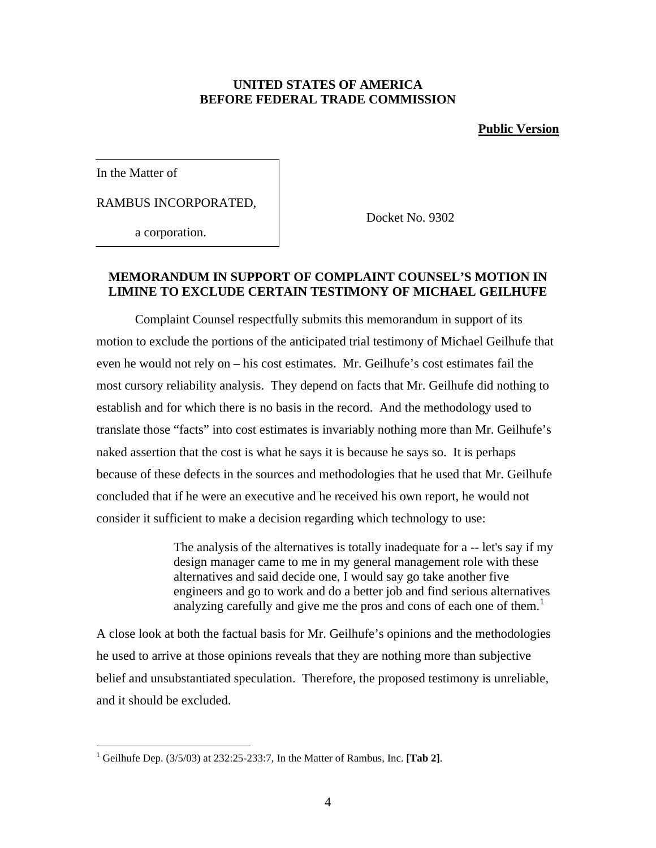#### **UNITED STATES OF AMERICA BEFORE FEDERAL TRADE COMMISSION**

### **Public Version**

In the Matter of

 $\overline{a}$ 

RAMBUS INCORPORATED,

a corporation.

Docket No. 9302

## **MEMORANDUM IN SUPPORT OF COMPLAINT COUNSEL'S MOTION IN LIMINE TO EXCLUDE CERTAIN TESTIMONY OF MICHAEL GEILHUFE**

Complaint Counsel respectfully submits this memorandum in support of its motion to exclude the portions of the anticipated trial testimony of Michael Geilhufe that even he would not rely on – his cost estimates. Mr. Geilhufe's cost estimates fail the most cursory reliability analysis. They depend on facts that Mr. Geilhufe did nothing to establish and for which there is no basis in the record. And the methodology used to translate those "facts" into cost estimates is invariably nothing more than Mr. Geilhufe's naked assertion that the cost is what he says it is because he says so. It is perhaps because of these defects in the sources and methodologies that he used that Mr. Geilhufe concluded that if he were an executive and he received his own report, he would not consider it sufficient to make a decision regarding which technology to use:

> The analysis of the alternatives is totally inadequate for a -- let's say if my design manager came to me in my general management role with these alternatives and said decide one, I would say go take another five engineers and go to work and do a better job and find serious alternatives analyzing carefully and give me the pros and cons of each one of them.<sup>1</sup>

A close look at both the factual basis for Mr. Geilhufe's opinions and the methodologies he used to arrive at those opinions reveals that they are nothing more than subjective belief and unsubstantiated speculation. Therefore, the proposed testimony is unreliable, and it should be excluded.

<sup>&</sup>lt;sup>1</sup> Geilhufe Dep. (3/5/03) at 232:25-233:7, In the Matter of Rambus, Inc. [Tab 2].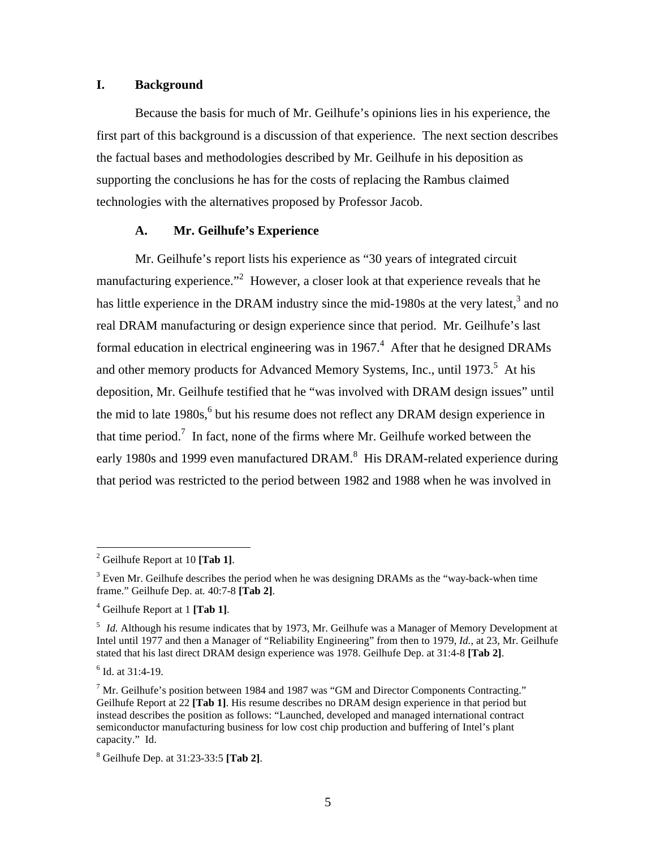#### **I. Background**

Because the basis for much of Mr. Geilhufe's opinions lies in his experience, the first part of this background is a discussion of that experience. The next section describes the factual bases and methodologies described by Mr. Geilhufe in his deposition as supporting the conclusions he has for the costs of replacing the Rambus claimed technologies with the alternatives proposed by Professor Jacob.

#### **A. Mr. Geilhufe's Experience**

Mr. Geilhufe's report lists his experience as "30 years of integrated circuit manufacturing experience."<sup>2</sup> However, a closer look at that experience reveals that he has little experience in the DRAM industry since the mid-1980s at the very latest, $3$  and no real DRAM manufacturing or design experience since that period. Mr. Geilhufe's last formal education in electrical engineering was in  $1967<sup>4</sup>$  After that he designed DRAMs and other memory products for Advanced Memory Systems, Inc., until  $1973$ <sup>5</sup>. At his deposition, Mr. Geilhufe testified that he "was involved with DRAM design issues" until the mid to late  $1980s$ ,  $6$  but his resume does not reflect any DRAM design experience in that time period.<sup>7</sup> In fact, none of the firms where Mr. Geilhufe worked between the early 1980s and 1999 even manufactured DRAM. $^8$  His DRAM-related experience during that period was restricted to the period between 1982 and 1988 when he was involved in

<sup>2</sup> Geilhufe Report at 10 **[Tab 1]**.

 $3$  Even Mr. Geilhufe describes the period when he was designing DRAMs as the "way-back-when time" frame." Geilhufe Dep. at*.* 40:7-8 **[Tab 2]**.

<sup>4</sup> Geilhufe Report at 1 **[Tab 1]**.

<sup>&</sup>lt;sup>5</sup> *Id.* Although his resume indicates that by 1973, Mr. Geilhufe was a Manager of Memory Development at Intel until 1977 and then a Manager of "Reliability Engineering" from then to 1979, *Id.,* at 23, Mr. Geilhufe stated that his last direct DRAM design experience was 1978. Geilhufe Dep. at 31:4-8 **[Tab 2]**.

 $<sup>6</sup>$  Id. at 31:4-19.</sup>

 $<sup>7</sup>$  Mr. Geilhufe's position between 1984 and 1987 was "GM and Director Components Contracting."</sup> Geilhufe Report at 22 **[Tab 1]**. His resume describes no DRAM design experience in that period but instead describes the position as follows: "Launched, developed and managed international contract semiconductor manufacturing business for low cost chip production and buffering of Intel's plant capacity." Id.

<sup>8</sup> Geilhufe Dep. at 31:23-33:5 **[Tab 2]**.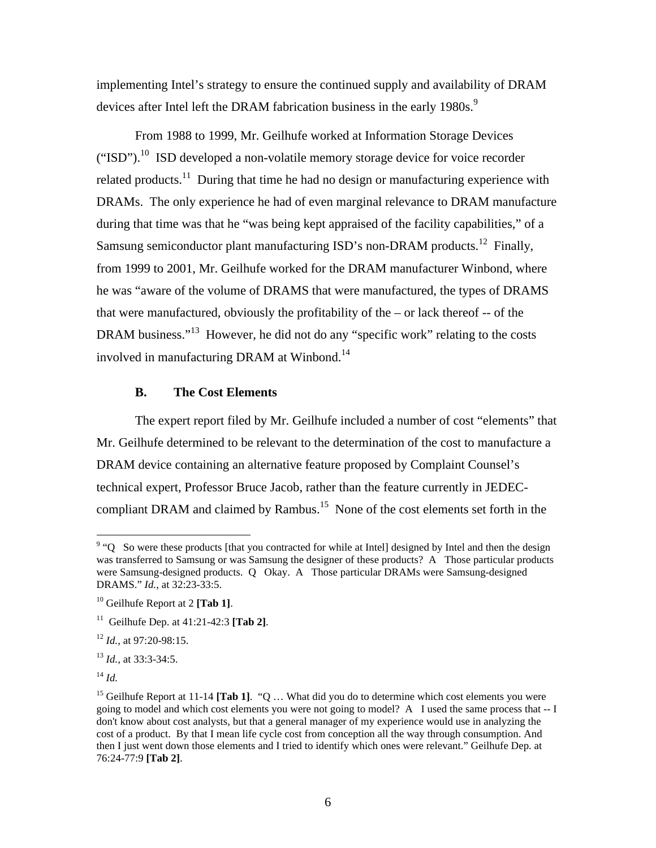implementing Intel's strategy to ensure the continued supply and availability of DRAM devices after Intel left the DRAM fabrication business in the early 1980s.<sup>9</sup>

From 1988 to 1999, Mr. Geilhufe worked at Information Storage Devices ("ISD").<sup>10</sup> ISD developed a non-volatile memory storage device for voice recorder related products.<sup>11</sup> During that time he had no design or manufacturing experience with DRAMs. The only experience he had of even marginal relevance to DRAM manufacture during that time was that he "was being kept appraised of the facility capabilities," of a Samsung semiconductor plant manufacturing ISD's non-DRAM products.<sup>12</sup> Finally, from 1999 to 2001, Mr. Geilhufe worked for the DRAM manufacturer Winbond, where he was "aware of the volume of DRAMS that were manufactured, the types of DRAMS that were manufactured, obviously the profitability of the – or lack thereof -- of the DRAM business."<sup>13</sup> However, he did not do any "specific work" relating to the costs involved in manufacturing DRAM at Winbond.<sup>14</sup>

#### **B. The Cost Elements**

The expert report filed by Mr. Geilhufe included a number of cost "elements" that Mr. Geilhufe determined to be relevant to the determination of the cost to manufacture a DRAM device containing an alternative feature proposed by Complaint Counsel's technical expert, Professor Bruce Jacob, rather than the feature currently in JEDECcompliant DRAM and claimed by Rambus.<sup>15</sup> None of the cost elements set forth in the

 $9 \text{°}$  So were these products [that you contracted for while at Intel] designed by Intel and then the design was transferred to Samsung or was Samsung the designer of these products? A Those particular products were Samsung-designed products. Q Okay. A Those particular DRAMs were Samsung-designed DRAMS." *Id.,* at 32:23-33:5.

<sup>10</sup> Geilhufe Report at 2 **[Tab 1]**.

<sup>11</sup> Geilhufe Dep. at 41:21-42:3 **[Tab 2]**.

<sup>12</sup> *Id.,* at 97:20-98:15.

<sup>13</sup> *Id.,* at 33:3-34:5.

<sup>14</sup> *Id.*

<sup>&</sup>lt;sup>15</sup> Geilhufe Report at 11-14 **[Tab 1]**. "Q ... What did you do to determine which cost elements you were going to model and which cost elements you were not going to model? A I used the same process that -- I don't know about cost analysts, but that a general manager of my experience would use in analyzing the cost of a product. By that I mean life cycle cost from conception all the way through consumption. And then I just went down those elements and I tried to identify which ones were relevant." Geilhufe Dep. at 76:24-77:9 **[Tab 2]**.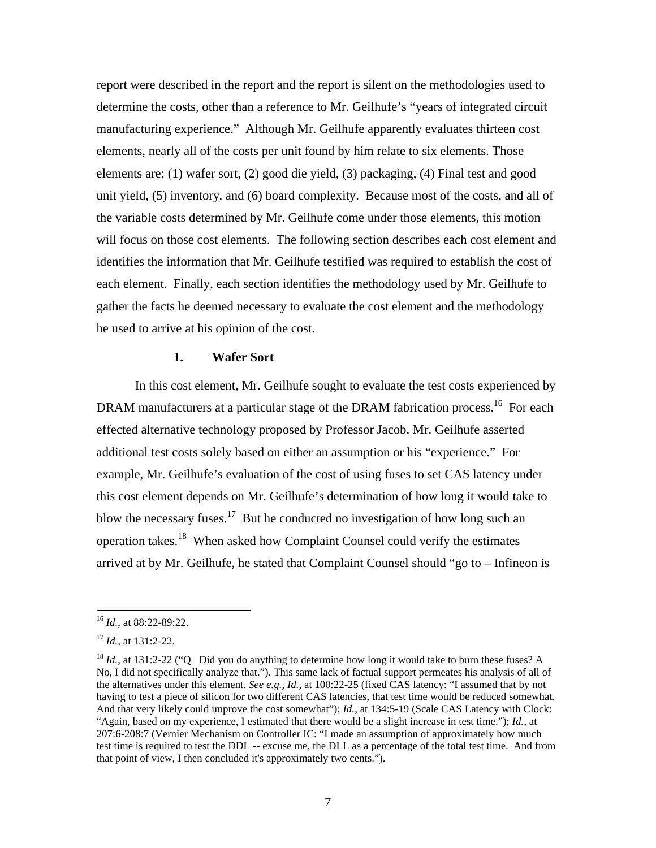report were described in the report and the report is silent on the methodologies used to determine the costs, other than a reference to Mr. Geilhufe's "years of integrated circuit manufacturing experience." Although Mr. Geilhufe apparently evaluates thirteen cost elements, nearly all of the costs per unit found by him relate to six elements. Those elements are: (1) wafer sort, (2) good die yield, (3) packaging, (4) Final test and good unit yield, (5) inventory, and (6) board complexity. Because most of the costs, and all of the variable costs determined by Mr. Geilhufe come under those elements, this motion will focus on those cost elements. The following section describes each cost element and identifies the information that Mr. Geilhufe testified was required to establish the cost of each element. Finally, each section identifies the methodology used by Mr. Geilhufe to gather the facts he deemed necessary to evaluate the cost element and the methodology he used to arrive at his opinion of the cost.

#### **1. Wafer Sort**

In this cost element, Mr. Geilhufe sought to evaluate the test costs experienced by DRAM manufacturers at a particular stage of the DRAM fabrication process.<sup>16</sup> For each effected alternative technology proposed by Professor Jacob, Mr. Geilhufe asserted additional test costs solely based on either an assumption or his "experience." For example, Mr. Geilhufe's evaluation of the cost of using fuses to set CAS latency under this cost element depends on Mr. Geilhufe's determination of how long it would take to blow the necessary fuses.<sup>17</sup> But he conducted no investigation of how long such an operation takes.<sup>18</sup> When asked how Complaint Counsel could verify the estimates arrived at by Mr. Geilhufe, he stated that Complaint Counsel should "go to – Infineon is

<sup>16</sup> *Id.,* at 88:22-89:22.

<sup>17</sup> *Id.,* at 131:2-22.

<sup>&</sup>lt;sup>18</sup> *Id.*, at 131:2-22 ("Q Did you do anything to determine how long it would take to burn these fuses? A No, I did not specifically analyze that."). This same lack of factual support permeates his analysis of all of the alternatives under this element. *See e.g., Id.,* at 100:22-25 (fixed CAS latency: "I assumed that by not having to test a piece of silicon for two different CAS latencies, that test time would be reduced somewhat. And that very likely could improve the cost somewhat"); *Id.,* at 134:5-19 (Scale CAS Latency with Clock: "Again, based on my experience, I estimated that there would be a slight increase in test time."); *Id.,* at 207:6-208:7 (Vernier Mechanism on Controller IC: "I made an assumption of approximately how much test time is required to test the DDL -- excuse me, the DLL as a percentage of the total test time. And from that point of view, I then concluded it's approximately two cents.").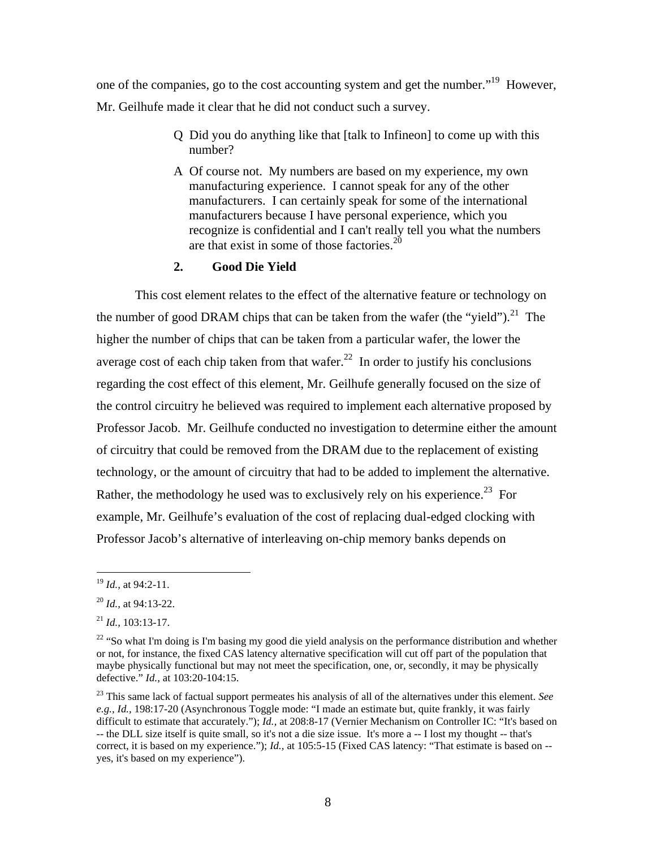one of the companies, go to the cost accounting system and get the number."<sup>19</sup> However, Mr. Geilhufe made it clear that he did not conduct such a survey.

- Q Did you do anything like that [talk to Infineon] to come up with this number?
- A Of course not. My numbers are based on my experience, my own manufacturing experience. I cannot speak for any of the other manufacturers. I can certainly speak for some of the international manufacturers because I have personal experience, which you recognize is confidential and I can't really tell you what the numbers are that exist in some of those factories. $2^{20}$

## **2. Good Die Yield**

This cost element relates to the effect of the alternative feature or technology on the number of good DRAM chips that can be taken from the wafer (the "yield").<sup>21</sup> The higher the number of chips that can be taken from a particular wafer, the lower the average cost of each chip taken from that wafer.<sup>22</sup> In order to justify his conclusions regarding the cost effect of this element, Mr. Geilhufe generally focused on the size of the control circuitry he believed was required to implement each alternative proposed by Professor Jacob. Mr. Geilhufe conducted no investigation to determine either the amount of circuitry that could be removed from the DRAM due to the replacement of existing technology, or the amount of circuitry that had to be added to implement the alternative. Rather, the methodology he used was to exclusively rely on his experience.<sup>23</sup> For example, Mr. Geilhufe's evaluation of the cost of replacing dual-edged clocking with Professor Jacob's alternative of interleaving on-chip memory banks depends on

<sup>19</sup> *Id.,* at 94:2-11.

<sup>20</sup> *Id.,* at 94:13-22.

<sup>21</sup> *Id.,* 103:13-17.

<sup>&</sup>lt;sup>22</sup> "So what I'm doing is I'm basing my good die yield analysis on the performance distribution and whether or not, for instance, the fixed CAS latency alternative specification will cut off part of the population that maybe physically functional but may not meet the specification, one, or, secondly, it may be physically defective." *Id.,* at 103:20-104:15.

<sup>23</sup> This same lack of factual support permeates his analysis of all of the alternatives under this element. *See e.g., Id.,* 198:17-20 (Asynchronous Toggle mode: "I made an estimate but, quite frankly, it was fairly difficult to estimate that accurately."); *Id.*, at 208:8-17 (Vernier Mechanism on Controller IC: "It's based on -- the DLL size itself is quite small, so it's not a die size issue. It's more a -- I lost my thought -- that's correct, it is based on my experience."); *Id.,* at 105:5-15 (Fixed CAS latency: "That estimate is based on - yes, it's based on my experience").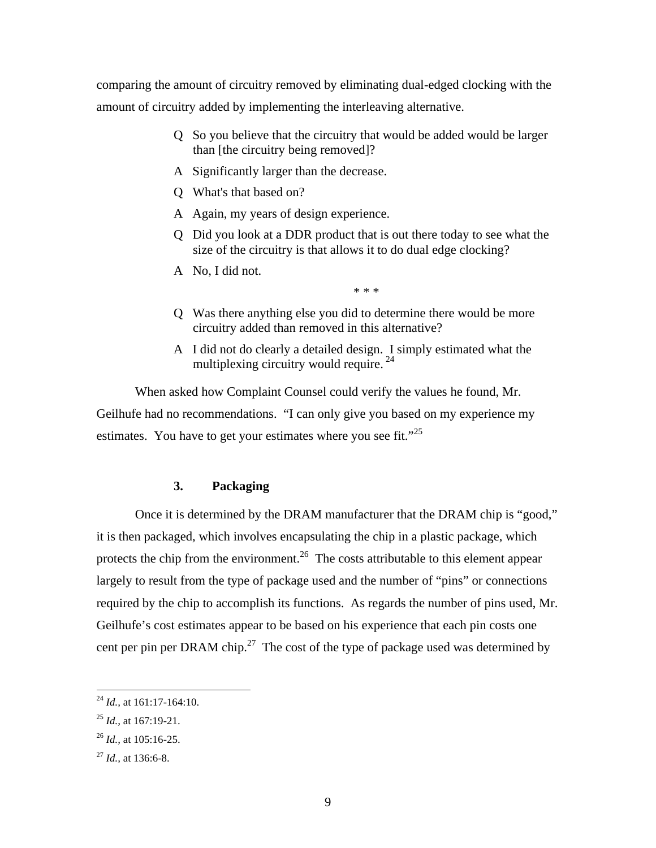comparing the amount of circuitry removed by eliminating dual-edged clocking with the amount of circuitry added by implementing the interleaving alternative.

- Q So you believe that the circuitry that would be added would be larger than [the circuitry being removed]?
- A Significantly larger than the decrease.
- Q What's that based on?
- A Again, my years of design experience.
- Q Did you look at a DDR product that is out there today to see what the size of the circuitry is that allows it to do dual edge clocking?
- A No, I did not.

\* \* \*

- Q Was there anything else you did to determine there would be more circuitry added than removed in this alternative?
- A I did not do clearly a detailed design. I simply estimated what the multiplexing circuitry would require.<sup>24</sup>

When asked how Complaint Counsel could verify the values he found, Mr. Geilhufe had no recommendations. "I can only give you based on my experience my estimates. You have to get your estimates where you see fit."<sup>25</sup>

## **3. Packaging**

Once it is determined by the DRAM manufacturer that the DRAM chip is "good," it is then packaged, which involves encapsulating the chip in a plastic package, which protects the chip from the environment.<sup>26</sup> The costs attributable to this element appear largely to result from the type of package used and the number of "pins" or connections required by the chip to accomplish its functions. As regards the number of pins used, Mr. Geilhufe's cost estimates appear to be based on his experience that each pin costs one cent per pin per DRAM chip.<sup>27</sup> The cost of the type of package used was determined by

<sup>24</sup> *Id.,* at 161:17-164:10.

<sup>25</sup> *Id.,* at 167:19-21.

<sup>26</sup> *Id.,* at 105:16-25.

<sup>27</sup> *Id.,* at 136:6-8.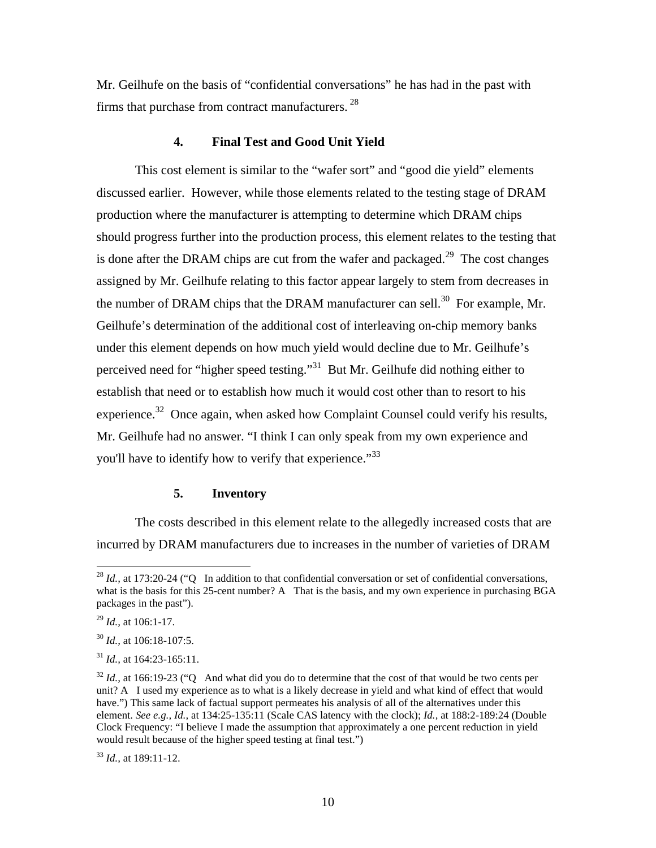Mr. Geilhufe on the basis of "confidential conversations" he has had in the past with firms that purchase from contract manufacturers.<sup>28</sup>

## **4. Final Test and Good Unit Yield**

This cost element is similar to the "wafer sort" and "good die yield" elements discussed earlier. However, while those elements related to the testing stage of DRAM production where the manufacturer is attempting to determine which DRAM chips should progress further into the production process, this element relates to the testing that is done after the DRAM chips are cut from the wafer and packaged.<sup>29</sup> The cost changes assigned by Mr. Geilhufe relating to this factor appear largely to stem from decreases in the number of DRAM chips that the DRAM manufacturer can sell.<sup>30</sup> For example, Mr. Geilhufe's determination of the additional cost of interleaving on-chip memory banks under this element depends on how much yield would decline due to Mr. Geilhufe's perceived need for "higher speed testing."<sup>31</sup> But Mr. Geilhufe did nothing either to establish that need or to establish how much it would cost other than to resort to his experience.<sup>32</sup> Once again, when asked how Complaint Counsel could verify his results, Mr. Geilhufe had no answer. "I think I can only speak from my own experience and you'll have to identify how to verify that experience."<sup>33</sup>

#### **5. Inventory**

The costs described in this element relate to the allegedly increased costs that are incurred by DRAM manufacturers due to increases in the number of varieties of DRAM

 $\overline{a}$ 

<sup>33</sup> *Id.,* at 189:11-12.

<sup>&</sup>lt;sup>28</sup> *Id.*, at 173:20-24 ("Q In addition to that confidential conversation or set of confidential conversations, what is the basis for this 25-cent number? A That is the basis, and my own experience in purchasing BGA packages in the past").

<sup>29</sup> *Id.,* at 106:1-17.

<sup>30</sup> *Id.,* at 106:18-107:5.

<sup>31</sup> *Id.,* at 164:23-165:11.

<sup>&</sup>lt;sup>32</sup> *Id.*, at 166:19-23 ("Q And what did you do to determine that the cost of that would be two cents per unit? A I used my experience as to what is a likely decrease in yield and what kind of effect that would have.") This same lack of factual support permeates his analysis of all of the alternatives under this element. *See e.g., Id.,* at 134:25-135:11 (Scale CAS latency with the clock); *Id.,* at 188:2-189:24 (Double Clock Frequency: "I believe I made the assumption that approximately a one percent reduction in yield would result because of the higher speed testing at final test.")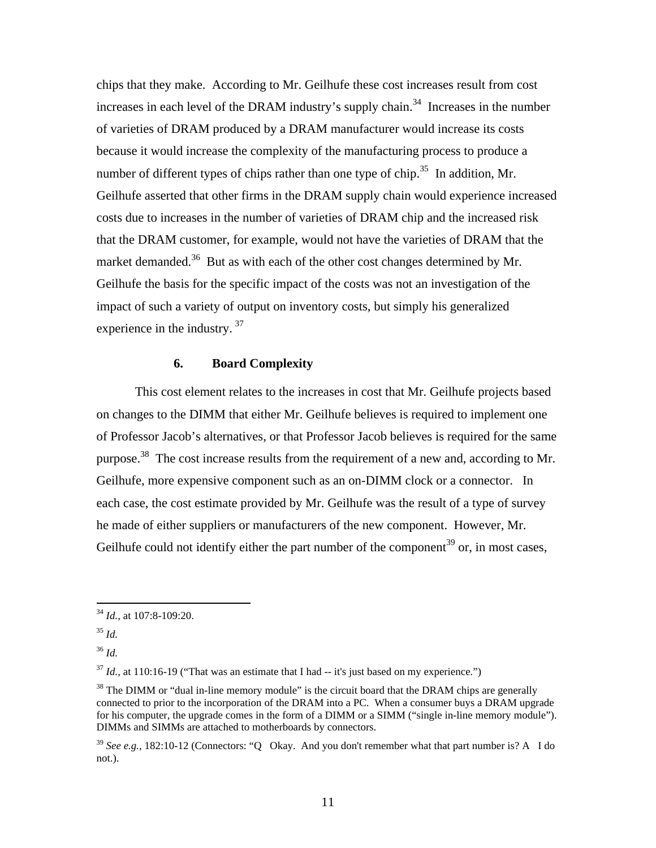chips that they make. According to Mr. Geilhufe these cost increases result from cost increases in each level of the DRAM industry's supply chain.<sup>34</sup> Increases in the number of varieties of DRAM produced by a DRAM manufacturer would increase its costs because it would increase the complexity of the manufacturing process to produce a number of different types of chips rather than one type of chip.<sup>35</sup> In addition, Mr. Geilhufe asserted that other firms in the DRAM supply chain would experience increased costs due to increases in the number of varieties of DRAM chip and the increased risk that the DRAM customer, for example, would not have the varieties of DRAM that the market demanded.<sup>36</sup> But as with each of the other cost changes determined by Mr. Geilhufe the basis for the specific impact of the costs was not an investigation of the impact of such a variety of output on inventory costs, but simply his generalized experience in the industry.<sup>37</sup>

#### **6. Board Complexity**

This cost element relates to the increases in cost that Mr. Geilhufe projects based on changes to the DIMM that either Mr. Geilhufe believes is required to implement one of Professor Jacob's alternatives, or that Professor Jacob believes is required for the same purpose.<sup>38</sup> The cost increase results from the requirement of a new and, according to Mr. Geilhufe, more expensive component such as an on-DIMM clock or a connector. In each case, the cost estimate provided by Mr. Geilhufe was the result of a type of survey he made of either suppliers or manufacturers of the new component. However, Mr. Geilhufe could not identify either the part number of the component<sup>39</sup> or, in most cases,

 $\overline{a}$ 

 $37$  *Id.*, at 110:16-19 ("That was an estimate that I had  $-$  it's just based on my experience.")

<sup>34</sup> *Id.,* at 107:8-109:20.

<sup>35</sup> *Id.*

<sup>36</sup> *Id.*

<sup>&</sup>lt;sup>38</sup> The DIMM or "dual in-line memory module" is the circuit board that the DRAM chips are generally connected to prior to the incorporation of the DRAM into a PC. When a consumer buys a DRAM upgrade for his computer, the upgrade comes in the form of a DIMM or a SIMM ("single in-line memory module"). DIMMs and SIMMs are attached to motherboards by connectors.

<sup>&</sup>lt;sup>39</sup> See e.g., 182:10-12 (Connectors: "O Okay. And you don't remember what that part number is? A I do not.).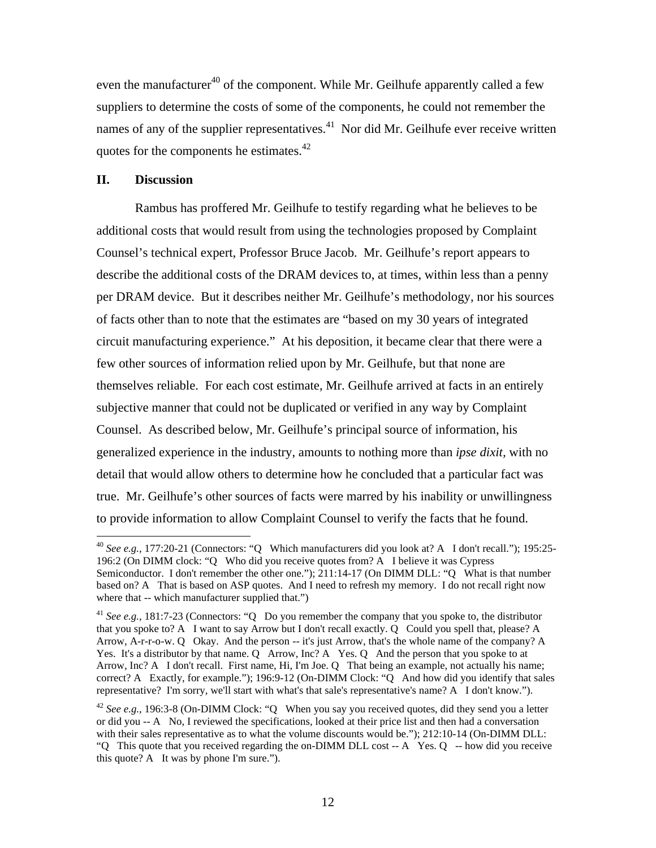even the manufacturer<sup>40</sup> of the component. While Mr. Geilhufe apparently called a few suppliers to determine the costs of some of the components, he could not remember the names of any of the supplier representatives.<sup>41</sup> Nor did Mr. Geilhufe ever receive written quotes for the components he estimates.<sup>42</sup>

#### **II. Discussion**

 $\overline{a}$ 

Rambus has proffered Mr. Geilhufe to testify regarding what he believes to be additional costs that would result from using the technologies proposed by Complaint Counsel's technical expert, Professor Bruce Jacob. Mr. Geilhufe's report appears to describe the additional costs of the DRAM devices to, at times, within less than a penny per DRAM device. But it describes neither Mr. Geilhufe's methodology, nor his sources of facts other than to note that the estimates are "based on my 30 years of integrated circuit manufacturing experience." At his deposition, it became clear that there were a few other sources of information relied upon by Mr. Geilhufe, but that none are themselves reliable. For each cost estimate, Mr. Geilhufe arrived at facts in an entirely subjective manner that could not be duplicated or verified in any way by Complaint Counsel. As described below, Mr. Geilhufe's principal source of information, his generalized experience in the industry, amounts to nothing more than *ipse dixit,* with no detail that would allow others to determine how he concluded that a particular fact was true. Mr. Geilhufe's other sources of facts were marred by his inability or unwillingness to provide information to allow Complaint Counsel to verify the facts that he found.

<sup>40</sup> *See e.g.,* 177:20-21 (Connectors: "Q Which manufacturers did you look at? A I don't recall."); 195:25- 196:2 (On DIMM clock: "Q Who did you receive quotes from? A I believe it was Cypress Semiconductor. I don't remember the other one."); 211:14-17 (On DIMM DLL: "Q What is that number based on? A That is based on ASP quotes. And I need to refresh my memory. I do not recall right now where that -- which manufacturer supplied that.")

<sup>&</sup>lt;sup>41</sup> See e.g., 181:7-23 (Connectors: "Q Do you remember the company that you spoke to, the distributor that you spoke to? A I want to say Arrow but I don't recall exactly. Q Could you spell that, please? A Arrow, A-r-r-o-w. Q Okay. And the person -- it's just Arrow, that's the whole name of the company? A Yes. It's a distributor by that name. Q Arrow, Inc? A Yes. Q And the person that you spoke to at Arrow, Inc? A I don't recall. First name, Hi, I'm Joe. Q That being an example, not actually his name; correct? A Exactly, for example."); 196:9-12 (On-DIMM Clock: "Q And how did you identify that sales representative? I'm sorry, we'll start with what's that sale's representative's name? A I don't know.").

<sup>&</sup>lt;sup>42</sup> See e.g., 196:3-8 (On-DIMM Clock: "Q When you say you received quotes, did they send you a letter or did you -- A No, I reviewed the specifications, looked at their price list and then had a conversation with their sales representative as to what the volume discounts would be."); 212:10-14 (On-DIMM DLL: "Q This quote that you received regarding the on-DIMM DLL cost -- A Yes. Q -- how did you receive this quote? A It was by phone I'm sure.").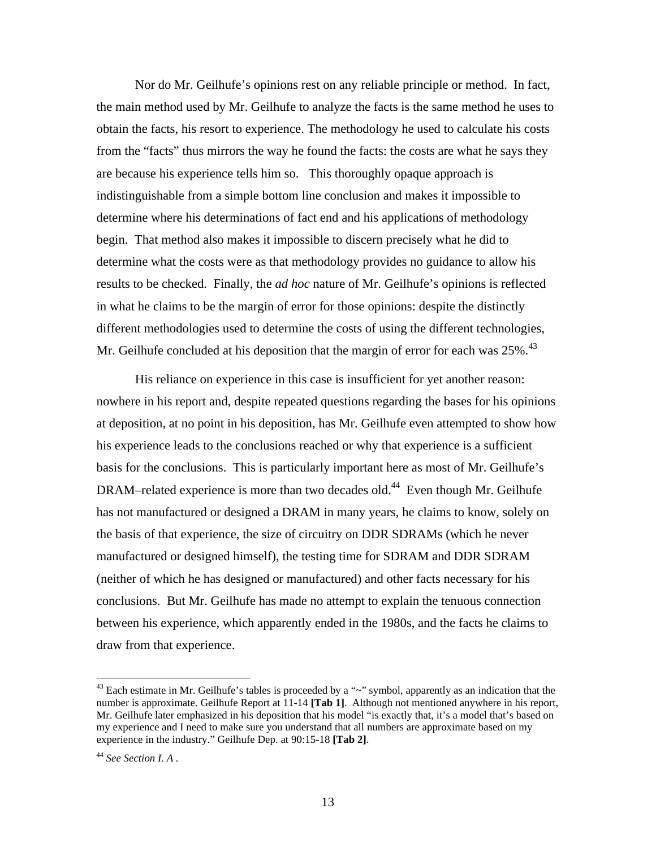Nor do Mr. Geilhufe's opinions rest on any reliable principle or method. In fact, the main method used by Mr. Geilhufe to analyze the facts is the same method he uses to obtain the facts, his resort to experience. The methodology he used to calculate his costs from the "facts" thus mirrors the way he found the facts: the costs are what he says they are because his experience tells him so. This thoroughly opaque approach is indistinguishable from a simple bottom line conclusion and makes it impossible to determine where his determinations of fact end and his applications of methodology begin. That method also makes it impossible to discern precisely what he did to determine what the costs were as that methodology provides no guidance to allow his results to be checked. Finally, the *ad hoc* nature of Mr. Geilhufe's opinions is reflected in what he claims to be the margin of error for those opinions: despite the distinctly different methodologies used to determine the costs of using the different technologies, Mr. Geilhufe concluded at his deposition that the margin of error for each was  $25\%$ .<sup>43</sup>

His reliance on experience in this case is insufficient for yet another reason: nowhere in his report and, despite repeated questions regarding the bases for his opinions at deposition, at no point in his deposition, has Mr. Geilhufe even attempted to show how his experience leads to the conclusions reached or why that experience is a sufficient basis for the conclusions. This is particularly important here as most of Mr. Geilhufe's DRAM–related experience is more than two decades old.<sup>44</sup> Even though Mr. Geilhufe has not manufactured or designed a DRAM in many years, he claims to know, solely on the basis of that experience, the size of circuitry on DDR SDRAMs (which he never manufactured or designed himself), the testing time for SDRAM and DDR SDRAM (neither of which he has designed or manufactured) and other facts necessary for his conclusions. But Mr. Geilhufe has made no attempt to explain the tenuous connection between his experience, which apparently ended in the 1980s, and the facts he claims to draw from that experience.

<sup>&</sup>lt;sup>43</sup> Each estimate in Mr. Geilhufe's tables is proceeded by a "~" symbol, apparently as an indication that the number is approximate. Geilhufe Report at 11-14 **[Tab 1]**. Although not mentioned anywhere in his report, Mr. Geilhufe later emphasized in his deposition that his model "is exactly that, it's a model that's based on my experience and I need to make sure you understand that all numbers are approximate based on my experience in the industry." Geilhufe Dep. at 90:15-18 **[Tab 2]**.

<sup>44</sup> *See Section I. A .*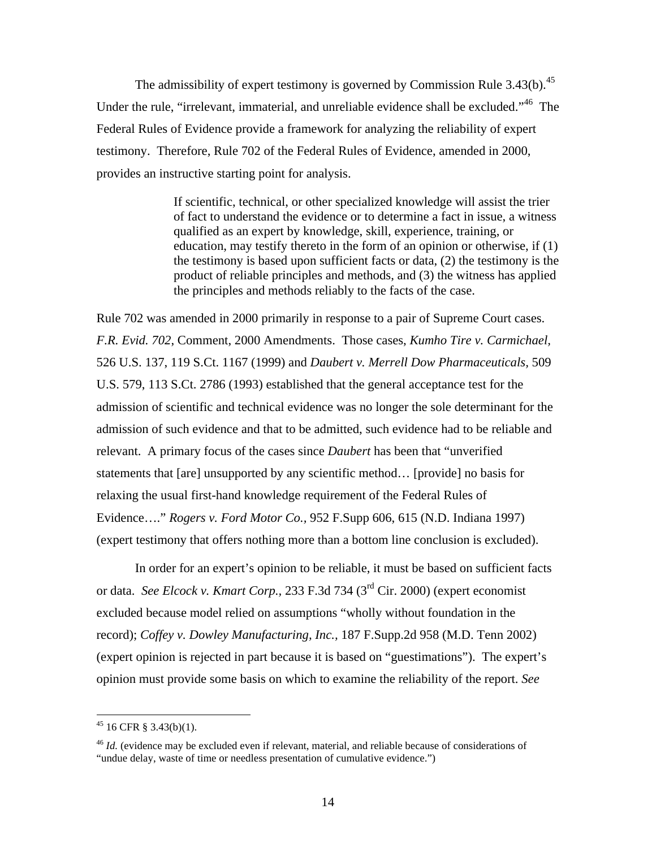The admissibility of expert testimony is governed by Commission Rule 3.43(b).<sup>45</sup> Under the rule, "irrelevant, immaterial, and unreliable evidence shall be excluded."<sup>46</sup> The Federal Rules of Evidence provide a framework for analyzing the reliability of expert testimony. Therefore, Rule 702 of the Federal Rules of Evidence, amended in 2000, provides an instructive starting point for analysis.

> If scientific, technical, or other specialized knowledge will assist the trier of fact to understand the evidence or to determine a fact in issue, a witness qualified as an expert by knowledge, skill, experience, training, or education, may testify thereto in the form of an opinion or otherwise, if (1) the testimony is based upon sufficient facts or data, (2) the testimony is the product of reliable principles and methods, and (3) the witness has applied the principles and methods reliably to the facts of the case.

Rule 702 was amended in 2000 primarily in response to a pair of Supreme Court cases. *F.R. Evid. 702*, Comment, 2000 Amendments. Those cases, *Kumho Tire v. Carmichael,*  526 U.S. 137, 119 S.Ct. 1167 (1999) and *Daubert v. Merrell Dow Pharmaceuticals,* 509 U.S. 579, 113 S.Ct. 2786 (1993) established that the general acceptance test for the admission of scientific and technical evidence was no longer the sole determinant for the admission of such evidence and that to be admitted, such evidence had to be reliable and relevant. A primary focus of the cases since *Daubert* has been that "unverified statements that [are] unsupported by any scientific method… [provide] no basis for relaxing the usual first-hand knowledge requirement of the Federal Rules of Evidence…." *Rogers v. Ford Motor Co.,* 952 F.Supp 606, 615 (N.D. Indiana 1997) (expert testimony that offers nothing more than a bottom line conclusion is excluded).

In order for an expert's opinion to be reliable, it must be based on sufficient facts or data. *See Elcock v. Kmart Corp.,* 233 F.3d 734 (3rd Cir. 2000) (expert economist excluded because model relied on assumptions "wholly without foundation in the record); *Coffey v. Dowley Manufacturing, Inc.,* 187 F.Supp.2d 958 (M.D. Tenn 2002) (expert opinion is rejected in part because it is based on "guestimations"). The expert's opinion must provide some basis on which to examine the reliability of the report. *See* 

 $45$  16 CFR § 3.43(b)(1).

<sup>46</sup> *Id.* (evidence may be excluded even if relevant, material, and reliable because of considerations of "undue delay, waste of time or needless presentation of cumulative evidence.")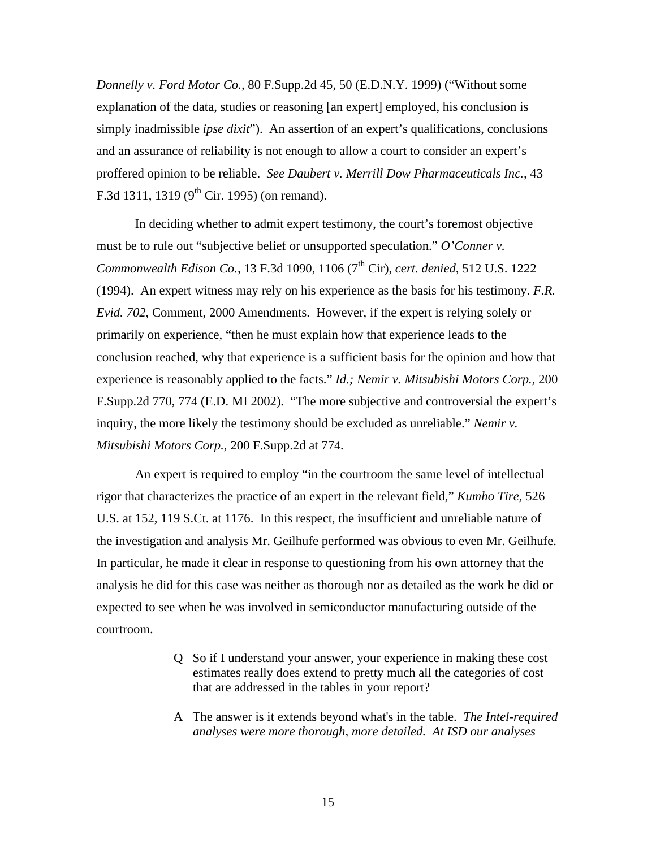*Donnelly v. Ford Motor Co.,* 80 F.Supp.2d 45, 50 (E.D.N.Y. 1999) ("Without some explanation of the data, studies or reasoning [an expert] employed, his conclusion is simply inadmissible *ipse dixit*"). An assertion of an expert's qualifications, conclusions and an assurance of reliability is not enough to allow a court to consider an expert's proffered opinion to be reliable. *See Daubert v. Merrill Dow Pharmaceuticals Inc.,* 43 F.3d 1311, 1319 ( $9<sup>th</sup>$  Cir. 1995) (on remand).

In deciding whether to admit expert testimony, the court's foremost objective must be to rule out "subjective belief or unsupported speculation." *O'Conner v. Commonwealth Edison Co.,* 13 F.3d 1090, 1106 (7th Cir), *cert. denied,* 512 U.S. 1222 (1994). An expert witness may rely on his experience as the basis for his testimony. *F.R. Evid. 702*, Comment, 2000 Amendments. However, if the expert is relying solely or primarily on experience, "then he must explain how that experience leads to the conclusion reached, why that experience is a sufficient basis for the opinion and how that experience is reasonably applied to the facts." *Id.; Nemir v. Mitsubishi Motors Corp.,* 200 F.Supp.2d 770, 774 (E.D. MI 2002). "The more subjective and controversial the expert's inquiry, the more likely the testimony should be excluded as unreliable." *Nemir v. Mitsubishi Motors Corp.,* 200 F.Supp.2d at 774*.*

An expert is required to employ "in the courtroom the same level of intellectual rigor that characterizes the practice of an expert in the relevant field," *Kumho Tire,* 526 U.S. at 152, 119 S.Ct. at 1176. In this respect, the insufficient and unreliable nature of the investigation and analysis Mr. Geilhufe performed was obvious to even Mr. Geilhufe. In particular, he made it clear in response to questioning from his own attorney that the analysis he did for this case was neither as thorough nor as detailed as the work he did or expected to see when he was involved in semiconductor manufacturing outside of the courtroom.

- Q So if I understand your answer, your experience in making these cost estimates really does extend to pretty much all the categories of cost that are addressed in the tables in your report?
- A The answer is it extends beyond what's in the table. *The Intel-required analyses were more thorough, more detailed. At ISD our analyses*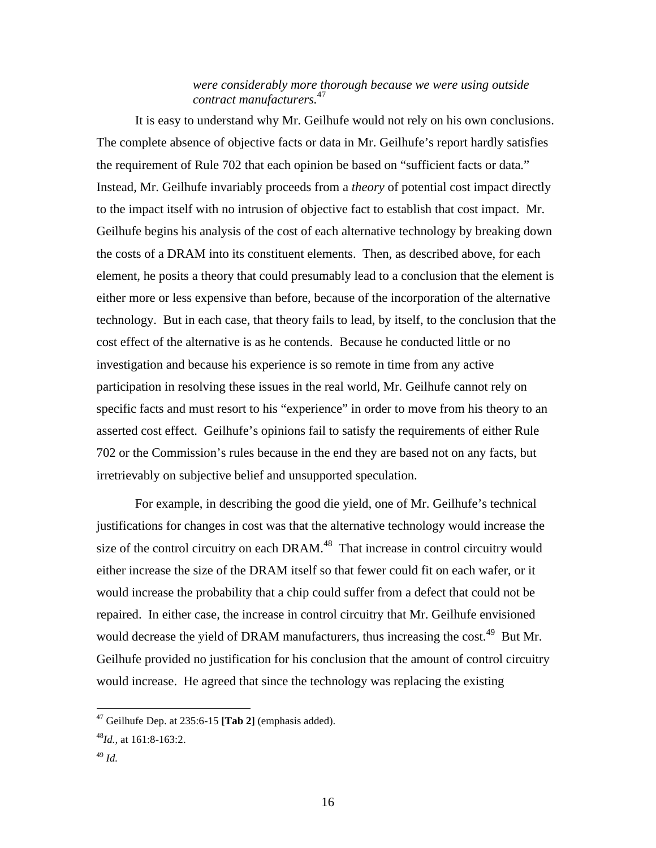### *were considerably more thorough because we were using outside contract manufacturers.*<sup>47</sup>

It is easy to understand why Mr. Geilhufe would not rely on his own conclusions. The complete absence of objective facts or data in Mr. Geilhufe's report hardly satisfies the requirement of Rule 702 that each opinion be based on "sufficient facts or data." Instead, Mr. Geilhufe invariably proceeds from a *theory* of potential cost impact directly to the impact itself with no intrusion of objective fact to establish that cost impact. Mr. Geilhufe begins his analysis of the cost of each alternative technology by breaking down the costs of a DRAM into its constituent elements. Then, as described above, for each element, he posits a theory that could presumably lead to a conclusion that the element is either more or less expensive than before, because of the incorporation of the alternative technology. But in each case, that theory fails to lead, by itself, to the conclusion that the cost effect of the alternative is as he contends. Because he conducted little or no investigation and because his experience is so remote in time from any active participation in resolving these issues in the real world, Mr. Geilhufe cannot rely on specific facts and must resort to his "experience" in order to move from his theory to an asserted cost effect. Geilhufe's opinions fail to satisfy the requirements of either Rule 702 or the Commission's rules because in the end they are based not on any facts, but irretrievably on subjective belief and unsupported speculation.

For example, in describing the good die yield, one of Mr. Geilhufe's technical justifications for changes in cost was that the alternative technology would increase the size of the control circuitry on each DRAM.<sup>48</sup> That increase in control circuitry would either increase the size of the DRAM itself so that fewer could fit on each wafer, or it would increase the probability that a chip could suffer from a defect that could not be repaired. In either case, the increase in control circuitry that Mr. Geilhufe envisioned would decrease the yield of DRAM manufacturers, thus increasing the cost.<sup>49</sup> But Mr. Geilhufe provided no justification for his conclusion that the amount of control circuitry would increase. He agreed that since the technology was replacing the existing

<sup>47</sup> Geilhufe Dep. at 235:6-15 **[Tab 2]** (emphasis added).

<sup>48</sup>*Id.,* at 161:8-163:2.

<sup>49</sup> *Id.*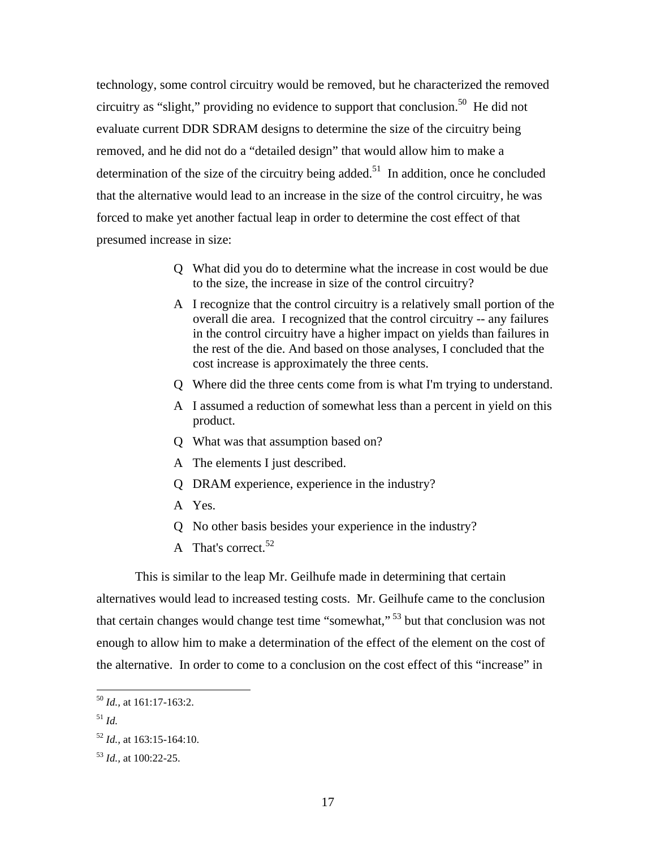technology, some control circuitry would be removed, but he characterized the removed circuitry as "slight," providing no evidence to support that conclusion.<sup>50</sup> He did not evaluate current DDR SDRAM designs to determine the size of the circuitry being removed, and he did not do a "detailed design" that would allow him to make a determination of the size of the circuitry being added.<sup>51</sup> In addition, once he concluded that the alternative would lead to an increase in the size of the control circuitry, he was forced to make yet another factual leap in order to determine the cost effect of that presumed increase in size:

- Q What did you do to determine what the increase in cost would be due to the size, the increase in size of the control circuitry?
- A I recognize that the control circuitry is a relatively small portion of the overall die area. I recognized that the control circuitry -- any failures in the control circuitry have a higher impact on yields than failures in the rest of the die. And based on those analyses, I concluded that the cost increase is approximately the three cents.
- Q Where did the three cents come from is what I'm trying to understand.
- A I assumed a reduction of somewhat less than a percent in yield on this product.
- Q What was that assumption based on?
- A The elements I just described.
- Q DRAM experience, experience in the industry?
- A Yes.
- Q No other basis besides your experience in the industry?
- A That's correct.<sup>52</sup>

This is similar to the leap Mr. Geilhufe made in determining that certain alternatives would lead to increased testing costs. Mr. Geilhufe came to the conclusion that certain changes would change test time "somewhat," <sup>53</sup> but that conclusion was not enough to allow him to make a determination of the effect of the element on the cost of the alternative. In order to come to a conclusion on the cost effect of this "increase" in

<sup>51</sup> *Id.*

<sup>50</sup> *Id.,* at 161:17-163:2.

<sup>52</sup> *Id.,* at 163:15-164:10.

<sup>53</sup> *Id.,* at 100:22-25.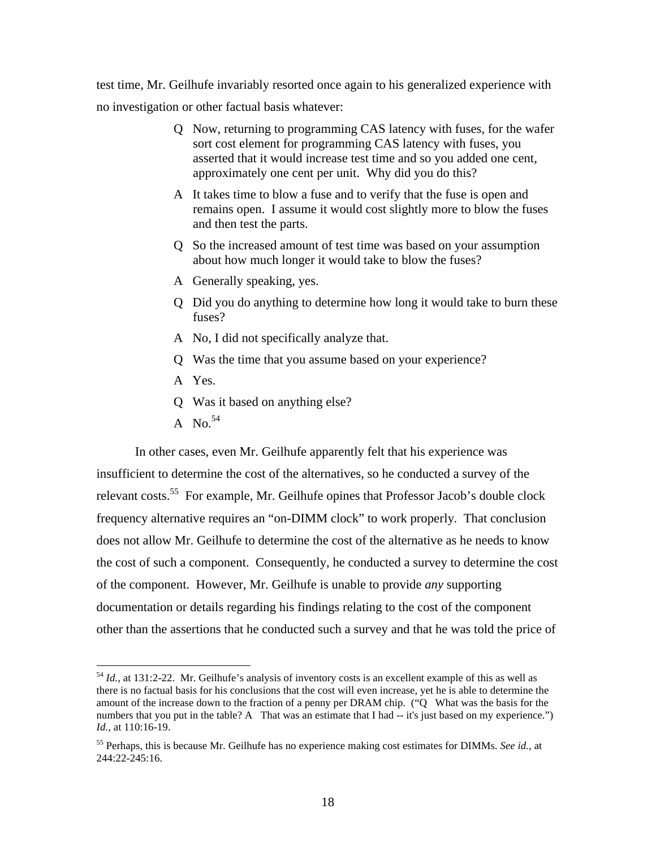test time, Mr. Geilhufe invariably resorted once again to his generalized experience with no investigation or other factual basis whatever:

- Q Now, returning to programming CAS latency with fuses, for the wafer sort cost element for programming CAS latency with fuses, you asserted that it would increase test time and so you added one cent, approximately one cent per unit. Why did you do this?
- A It takes time to blow a fuse and to verify that the fuse is open and remains open. I assume it would cost slightly more to blow the fuses and then test the parts.
- Q So the increased amount of test time was based on your assumption about how much longer it would take to blow the fuses?
- A Generally speaking, yes.
- Q Did you do anything to determine how long it would take to burn these fuses?
- A No, I did not specifically analyze that.
- Q Was the time that you assume based on your experience?
- A Yes.
- Q Was it based on anything else?
- A No.  $54$

 $\overline{a}$ 

In other cases, even Mr. Geilhufe apparently felt that his experience was insufficient to determine the cost of the alternatives, so he conducted a survey of the relevant costs.<sup>55</sup> For example, Mr. Geilhufe opines that Professor Jacob's double clock frequency alternative requires an "on-DIMM clock" to work properly. That conclusion does not allow Mr. Geilhufe to determine the cost of the alternative as he needs to know the cost of such a component. Consequently, he conducted a survey to determine the cost of the component. However, Mr. Geilhufe is unable to provide *any* supporting documentation or details regarding his findings relating to the cost of the component other than the assertions that he conducted such a survey and that he was told the price of

<sup>&</sup>lt;sup>54</sup> *Id.*, at 131:2-22. Mr. Geilhufe's analysis of inventory costs is an excellent example of this as well as there is no factual basis for his conclusions that the cost will even increase, yet he is able to determine the amount of the increase down to the fraction of a penny per DRAM chip. ("Q What was the basis for the numbers that you put in the table? A That was an estimate that I had -- it's just based on my experience.") *Id.,* at 110:16-19.

<sup>55</sup> Perhaps, this is because Mr. Geilhufe has no experience making cost estimates for DIMMs. *See id.,* at 244:22-245:16.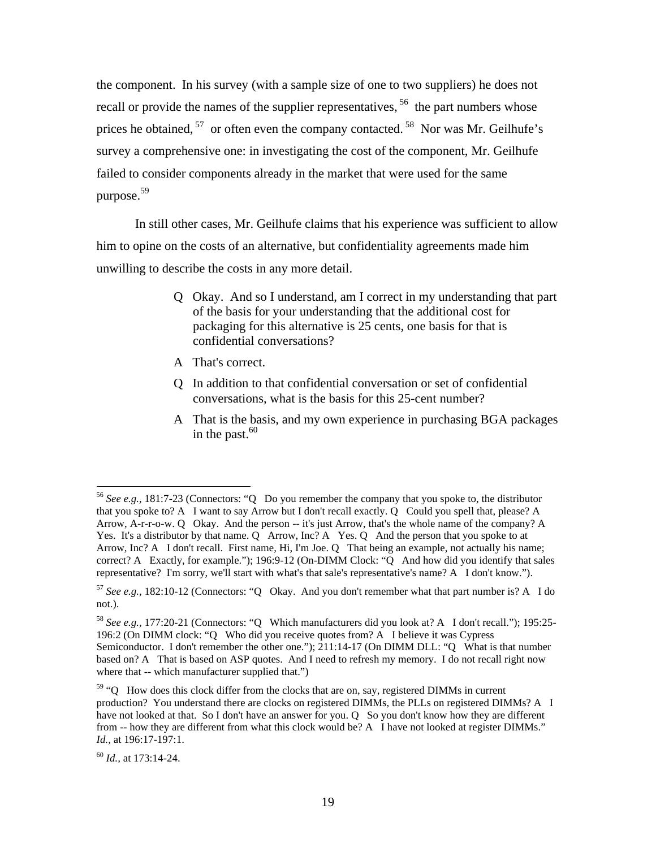the component. In his survey (with a sample size of one to two suppliers) he does not recall or provide the names of the supplier representatives, <sup>56</sup> the part numbers whose prices he obtained, <sup>57</sup> or often even the company contacted. <sup>58</sup> Nor was Mr. Geilhufe's survey a comprehensive one: in investigating the cost of the component, Mr. Geilhufe failed to consider components already in the market that were used for the same purpose.<sup>59</sup>

In still other cases, Mr. Geilhufe claims that his experience was sufficient to allow him to opine on the costs of an alternative, but confidentiality agreements made him unwilling to describe the costs in any more detail.

- Q Okay. And so I understand, am I correct in my understanding that part of the basis for your understanding that the additional cost for packaging for this alternative is 25 cents, one basis for that is confidential conversations?
- A That's correct.
- Q In addition to that confidential conversation or set of confidential conversations, what is the basis for this 25-cent number?
- A That is the basis, and my own experience in purchasing BGA packages in the past. $60$

<sup>56</sup> *See e.g.,* 181:7-23 (Connectors: "Q Do you remember the company that you spoke to, the distributor that you spoke to? A I want to say Arrow but I don't recall exactly. Q Could you spell that, please? A Arrow, A-r-r-o-w. Q Okay. And the person -- it's just Arrow, that's the whole name of the company? A Yes. It's a distributor by that name. Q Arrow, Inc? A Yes. Q And the person that you spoke to at Arrow, Inc? A I don't recall. First name, Hi, I'm Joe. Q That being an example, not actually his name; correct? A Exactly, for example."); 196:9-12 (On-DIMM Clock: "Q And how did you identify that sales representative? I'm sorry, we'll start with what's that sale's representative's name? A I don't know.").

<sup>57</sup> *See e.g.,* 182:10-12 (Connectors: "Q Okay. And you don't remember what that part number is? A I do not.).

<sup>58</sup> *See e.g.,* 177:20-21 (Connectors: "Q Which manufacturers did you look at? A I don't recall."); 195:25- 196:2 (On DIMM clock: "Q Who did you receive quotes from? A I believe it was Cypress Semiconductor. I don't remember the other one."); 211:14-17 (On DIMM DLL: "Q What is that number based on? A That is based on ASP quotes. And I need to refresh my memory. I do not recall right now where that -- which manufacturer supplied that.")

<sup>&</sup>lt;sup>59</sup> "Q How does this clock differ from the clocks that are on, say, registered DIMMs in current production? You understand there are clocks on registered DIMMs, the PLLs on registered DIMMs? A I have not looked at that. So I don't have an answer for you. Q So you don't know how they are different from -- how they are different from what this clock would be? A I have not looked at register DIMMs." *Id.,* at 196:17-197:1.

<sup>60</sup> *Id.,* at 173:14-24.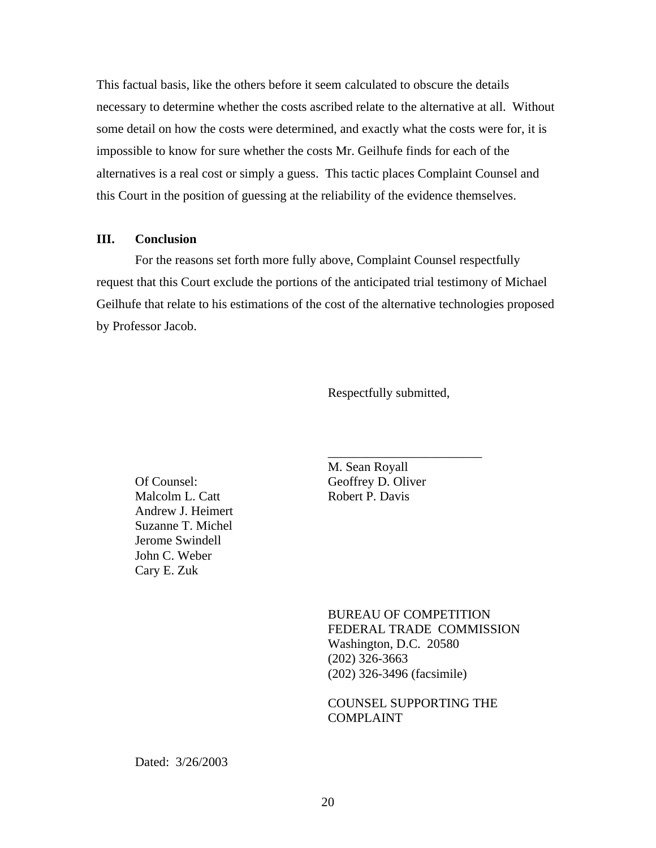This factual basis, like the others before it seem calculated to obscure the details necessary to determine whether the costs ascribed relate to the alternative at all. Without some detail on how the costs were determined, and exactly what the costs were for, it is impossible to know for sure whether the costs Mr. Geilhufe finds for each of the alternatives is a real cost or simply a guess. This tactic places Complaint Counsel and this Court in the position of guessing at the reliability of the evidence themselves.

#### **III. Conclusion**

For the reasons set forth more fully above, Complaint Counsel respectfully request that this Court exclude the portions of the anticipated trial testimony of Michael Geilhufe that relate to his estimations of the cost of the alternative technologies proposed by Professor Jacob.

Respectfully submitted,

\_\_\_\_\_\_\_\_\_\_\_\_\_\_\_\_\_\_\_\_\_\_\_\_

Of Counsel: Geoffrey D. Oliver Malcolm L. Catt Robert P. Davis Andrew J. Heimert Suzanne T. Michel Jerome Swindell John C. Weber Cary E. Zuk

M. Sean Royall

BUREAU OF COMPETITION FEDERAL TRADE COMMISSION Washington, D.C. 20580 (202) 326-3663 (202) 326-3496 (facsimile)

COUNSEL SUPPORTING THE COMPLAINT

Dated: 3/26/2003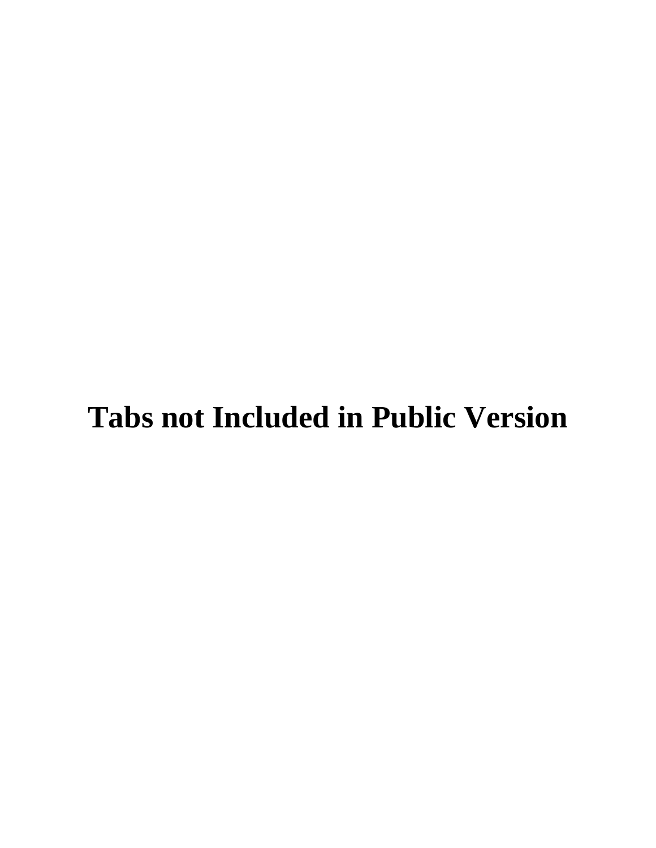# **Tabs not Included in Public Version**